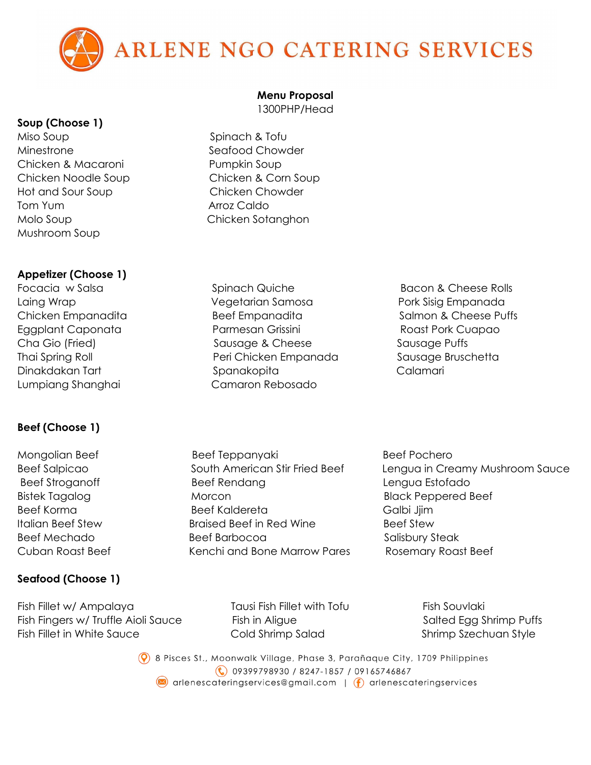

#### **Soup (Choose 1)**

Miso Soup Spinach & Tofu Minestrone Seafood Chowder Chicken & Macaroni Pumpkin Soup Hot and Sour Soup Chicken Chowder Tom Yum **Arroz Caldo** Molo Soup **Chicken Sotanghon** Mushroom Soup

### **Appetizer (Choose 1)**

# **Beef (Choose 1)**

### **Seafood (Choose 1)**

Fish Fillet w/ Ampalaya Tausi Fish Fillet with Tofu Fish Souvlaki Fish Fingers w/ Truffle Aioli Sauce Fish in Aligue Salted Egg Shrimp Puffs Fish Fillet in White Sauce **Cold Shrimp Salad** Shrimp Stechuan Style

#### **Menu Proposal**

1300PHP/Head

- Chicken Noodle Soup Chicken & Corn Soup
- Focacia w Salsa **Spinach Quiche** Bacon & Cheese Rolls Laing Wrap Vegetarian Samosa Pork Sisig Empanada Chicken Empanadita and Beef Empanadita Salmon & Cheese Puffs Eggplant Caponata Parmesan Grissini Roast Pork Cuapao Cha Gio (Fried) Sausage & Cheese Sausage Puffs Thai Spring Roll **Peri Chicken Empanada** Sausage Bruschetta Dinakdakan Tart Spanakopita Calamari Lumpiang Shanghai Camaron Rebosado
	-
- Mongolian Beef Teppanyaki Beef Teppanyaki Beef Pochero Beef Stroganoff and Beef Rendang and Lengua Estofado Bistek Tagalog Morcon Black Peppered Beef Beef Korma Beef Kaldereta Galbi Jjim Italian Beef Stew Braised Beef in Red Wine Beef Stew Beef Mechado Beef Barbocoa Salisbury Steak Cuban Roast Beef Kenchi and Bone Marrow Pares Rosemary Roast Beef
- Beef Salpicao South American Stir Fried Beef Lengua in Creamy Mushroom Sauce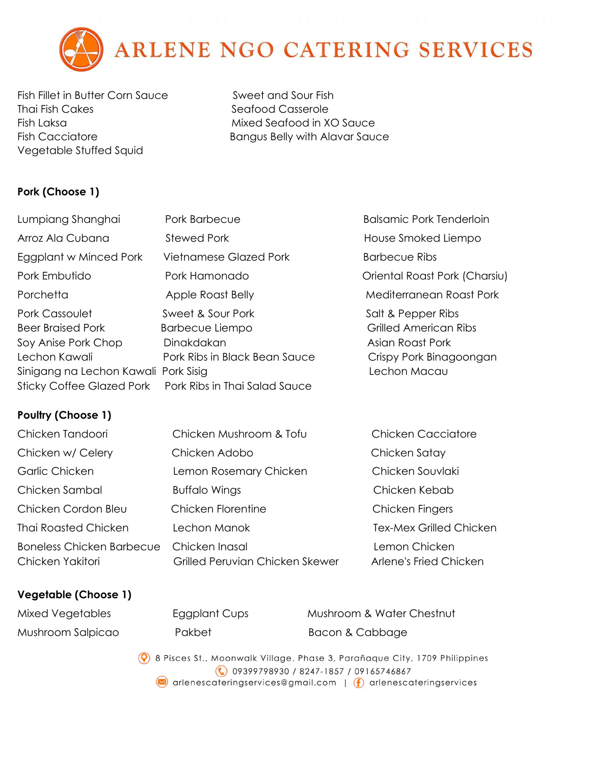

Fish Fillet in Butter Corn Sauce Sweet and Sour Fish Thai Fish Cakes Seafood Casserole Fish Laksa Mixed Seafood in XO Sauce Vegetable Stuffed Squid

Fish Cacciatore Bangus Belly with Alavar Sauce

# **Pork (Choose 1)**

| Lumpiang Shanghai                                                                                                                                              | Pork Barbecue                                                                                                               | <b>Balsamic Pork Tenderloin</b>                                                                                   |
|----------------------------------------------------------------------------------------------------------------------------------------------------------------|-----------------------------------------------------------------------------------------------------------------------------|-------------------------------------------------------------------------------------------------------------------|
| Arroz Ala Cubana                                                                                                                                               | <b>Stewed Pork</b>                                                                                                          | House Smoked Liempo                                                                                               |
| Eggplant w Minced Pork                                                                                                                                         | Vietnamese Glazed Pork                                                                                                      | Barbecue Ribs                                                                                                     |
| Pork Embutido                                                                                                                                                  | Pork Hamonado                                                                                                               | Oriental Roast Pork (Charsiu)                                                                                     |
| Porchetta                                                                                                                                                      | Apple Roast Belly                                                                                                           | Mediterranean Roast Pork                                                                                          |
| Pork Cassoulet<br><b>Beer Braised Pork</b><br>Soy Anise Pork Chop<br>Lechon Kawali<br>Sinigang na Lechon Kawali Pork Sisig<br><b>Sticky Coffee Glazed Pork</b> | Sweet & Sour Pork<br><b>Barbecue Liempo</b><br>Dinakdakan<br>Pork Ribs in Black Bean Sauce<br>Pork Ribs in Thai Salad Sauce | Salt & Pepper Ribs<br><b>Grilled American Ribs</b><br>Asian Roast Pork<br>Crispy Pork Binagoongan<br>Lechon Macau |
|                                                                                                                                                                |                                                                                                                             |                                                                                                                   |

## **Poultry (Choose 1)**

| Chicken Tandoori                                     | Chicken Mushroom & Tofu                           | <b>Chicken Cacciatore</b>               |
|------------------------------------------------------|---------------------------------------------------|-----------------------------------------|
| Chicken w/ Celery                                    | Chicken Adobo                                     | Chicken Satay                           |
| Garlic Chicken                                       | Lemon Rosemary Chicken                            | Chicken Souvlaki                        |
| Chicken Sambal                                       | <b>Buffalo Wings</b>                              | Chicken Kebab                           |
| Chicken Cordon Bleu                                  | Chicken Florentine                                | Chicken Fingers                         |
| <b>Thai Roasted Chicken</b>                          | Lechon Manok                                      | <b>Tex-Mex Grilled Chicken</b>          |
| <b>Boneless Chicken Barbecue</b><br>Chicken Yakitori | Chicken Inasal<br>Grilled Peruvian Chicken Skewer | Lemon Chicken<br>Arlene's Fried Chicken |

### **Vegetable (Choose 1)**

| Mixed Vegetables  |  |
|-------------------|--|
| Mushroom Salpicao |  |

| Eggplant Cups |  |
|---------------|--|
| Pakbet        |  |

s Mushroom & Water Chestnut Bacon & Cabbage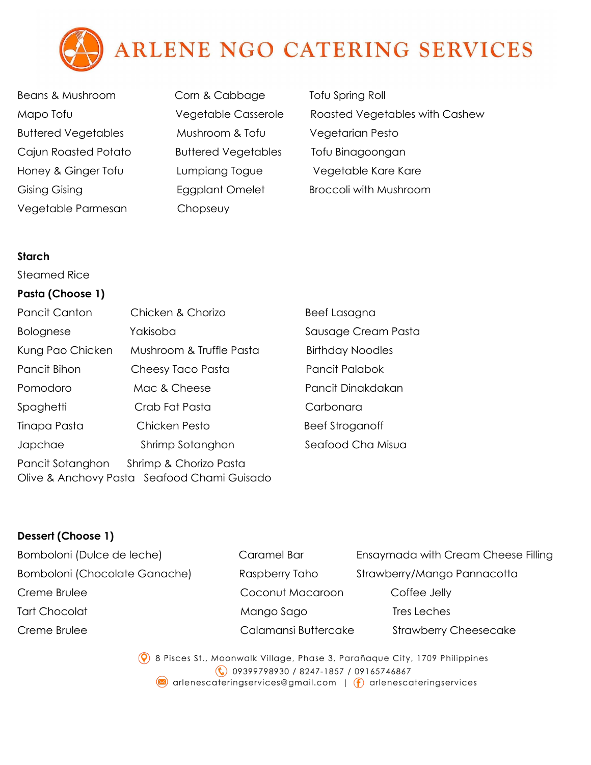

- Beans & Mushroom Corn & Cabbage Tofu Spring Roll Buttered Vegetables Mushroom & Tofu Vegetarian Pesto Cajun Roasted Potato Buttered Vegetables Tofu Binagoongan Honey & Ginger Tofu Lumpiang Togue Vegetable Kare Kare Vegetable Parmesan Chopseuy
- 
- Mapo Tofu **Example 20 Yegetable Casserole** Roasted Vegetables with Cashew Gising Gising **Eggplant Omelet** Broccoli with Mushroom

#### **Starch**

Steamed Rice

### **Pasta (Choose 1)**

| <b>Pancit Canton</b>                                                                      | Chicken & Chorizo        | Beef Lasagna            |  |
|-------------------------------------------------------------------------------------------|--------------------------|-------------------------|--|
| <b>Bolognese</b>                                                                          | Yakisoba                 | Sausage Cream Pasta     |  |
| Kung Pao Chicken                                                                          | Mushroom & Truffle Pasta | <b>Birthday Noodles</b> |  |
| Pancit Bihon                                                                              | Cheesy Taco Pasta        | Pancit Palabok          |  |
| Pomodoro                                                                                  | Mac & Cheese             | Pancit Dinakdakan       |  |
| Spaghetti                                                                                 | Crab Fat Pasta           | Carbonara               |  |
| Tinapa Pasta                                                                              | Chicken Pesto            | <b>Beef Stroganoff</b>  |  |
| Japchae                                                                                   | Shrimp Sotanghon         | Seafood Cha Misua       |  |
| Pancit Sotanghon<br>Shrimp & Chorizo Pasta<br>Olive & Anchovy Pasta Seafood Chami Guisado |                          |                         |  |

## **Dessert (Choose 1)**

| Bomboloni (Dulce de leche)           | Caramel Bar          | Ensaymada with Cream Cheese Filling |
|--------------------------------------|----------------------|-------------------------------------|
| <b>Bomboloni (Chocolate Ganache)</b> | Raspberry Taho       | Strawberry/Mango Pannacotta         |
| Creme Brulee                         | Coconut Macaroon     | Coffee Jelly                        |
| Tart Chocolat                        | Mango Sago           | Tres Leches                         |
| Creme Brulee                         | Calamansi Buttercake | <b>Strawberry Cheesecake</b>        |